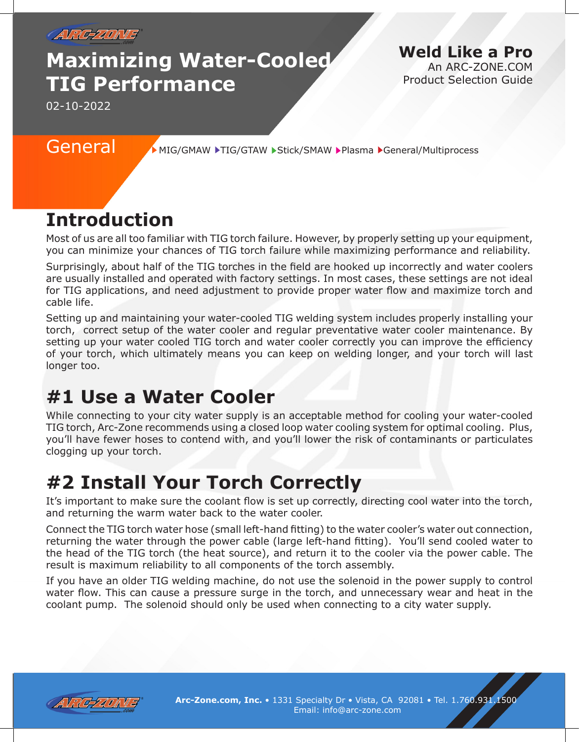

# **Maximizing Water-Cooled TIG Performance**

**Weld Like a Pro** An ARC-ZONE.COM Product Selection Guide

02-10-2022

General MIG/GMAW FIG/GTAW Stick/SMAW Plasma General/Multiprocess

# **Introduction**

Most of us are all too familiar with TIG torch failure. However, by properly setting up your equipment, you can minimize your chances of TIG torch failure while maximizing performance and reliability.

Surprisingly, about half of the TIG torches in the field are hooked up incorrectly and water coolers are usually installed and operated with factory settings. In most cases, these settings are not ideal for TIG applications, and need adjustment to provide proper water flow and maximize torch and cable life.

Setting up and maintaining your water-cooled TIG welding system includes properly installing your torch, correct setup of the water cooler and regular preventative water cooler maintenance. By setting up your water cooled TIG torch and water cooler correctly you can improve the efficiency of your torch, which ultimately means you can keep on welding longer, and your torch will last longer too.

# **#1 Use a Water Cooler**

While connecting to your city water supply is an acceptable method for cooling your water-cooled TIG torch, Arc-Zone recommends using a closed loop water cooling system for optimal cooling. Plus, you'll have fewer hoses to contend with, and you'll lower the risk of contaminants or particulates clogging up your torch.

# **#2 Install Your Torch Correctly**

It's important to make sure the coolant flow is set up correctly, directing cool water into the torch, and returning the warm water back to the water cooler.

Connect the TIG torch water hose (small left-hand fitting) to the water cooler's water out connection, returning the water through the power cable (large left-hand fitting). You'll send cooled water to the head of the TIG torch (the heat source), and return it to the cooler via the power cable. The result is maximum reliability to all components of the torch assembly.

If you have an older TIG welding machine, do not use the solenoid in the power supply to control water flow. This can cause a pressure surge in the torch, and unnecessary wear and heat in the coolant pump. The solenoid should only be used when connecting to a city water supply.



**Arc-Zone.com, Inc.** • 1331 Specialty Dr • Vista, CA 92081 • Tel. 1.760.931.1500 Email: info@arc-zone.com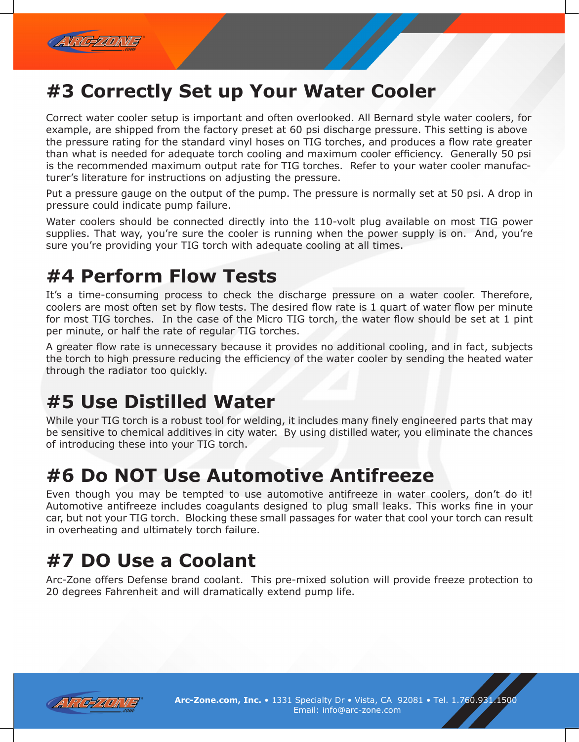

# **#3 Correctly Set up Your Water Cooler**

Correct water cooler setup is important and often overlooked. All Bernard style water coolers, for example, are shipped from the factory preset at 60 psi discharge pressure. This setting is above the pressure rating for the standard vinyl hoses on TIG torches, and produces a flow rate greater than what is needed for adequate torch cooling and maximum cooler efficiency. Generally 50 psi is the recommended maximum output rate for TIG torches. Refer to your water cooler manufacturer's literature for instructions on adjusting the pressure.

Put a pressure gauge on the output of the pump. The pressure is normally set at 50 psi. A drop in pressure could indicate pump failure.

Water coolers should be connected directly into the 110-volt plug available on most TIG power supplies. That way, you're sure the cooler is running when the power supply is on. And, you're sure you're providing your TIG torch with adequate cooling at all times.

#### **#4 Perform Flow Tests**

It's a time-consuming process to check the discharge pressure on a water cooler. Therefore, coolers are most often set by flow tests. The desired flow rate is 1 quart of water flow per minute for most TIG torches. In the case of the Micro TIG torch, the water flow should be set at 1 pint per minute, or half the rate of regular TIG torches.

A greater flow rate is unnecessary because it provides no additional cooling, and in fact, subjects the torch to high pressure reducing the efficiency of the water cooler by sending the heated water through the radiator too quickly.

### **#5 Use Distilled Water**

While your TIG torch is a robust tool for welding, it includes many finely engineered parts that may be sensitive to chemical additives in city water. By using distilled water, you eliminate the chances of introducing these into your TIG torch.

### **#6 Do NOT Use Automotive Antifreeze**

Even though you may be tempted to use automotive antifreeze in water coolers, don't do it! Automotive antifreeze includes coagulants designed to plug small leaks. This works fine in your car, but not your TIG torch. Blocking these small passages for water that cool your torch can result in overheating and ultimately torch failure.

### **#7 DO Use a Coolant**

Arc-Zone offers Defense brand coolant. This pre-mixed solution will provide freeze protection to 20 degrees Fahrenheit and will dramatically extend pump life.



**Arc-Zone.com, Inc.** • 1331 Specialty Dr • Vista, CA 92081 • Tel. 1.760.931.1500 Email: info@arc-zone.com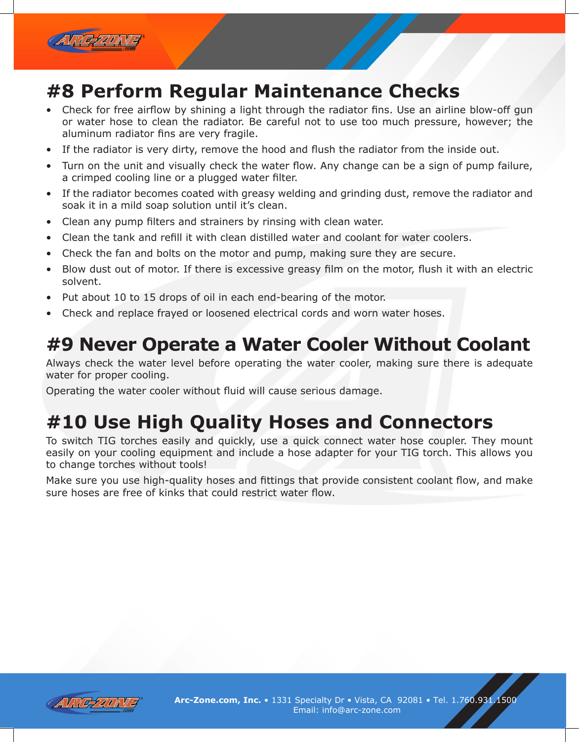

#### **#8 Perform Regular Maintenance Checks**

- Check for free airflow by shining a light through the radiator fins. Use an airline blow-off gun or water hose to clean the radiator. Be careful not to use too much pressure, however; the aluminum radiator fins are very fragile.
- If the radiator is very dirty, remove the hood and flush the radiator from the inside out.
- Turn on the unit and visually check the water flow. Any change can be a sign of pump failure, a crimped cooling line or a plugged water filter.
- If the radiator becomes coated with greasy welding and grinding dust, remove the radiator and soak it in a mild soap solution until it's clean.
- Clean any pump filters and strainers by rinsing with clean water.
- Clean the tank and refill it with clean distilled water and coolant for water coolers.
- Check the fan and bolts on the motor and pump, making sure they are secure.
- Blow dust out of motor. If there is excessive greasy film on the motor, flush it with an electric solvent.
- Put about 10 to 15 drops of oil in each end-bearing of the motor.
- Check and replace frayed or loosened electrical cords and worn water hoses.

#### **#9 Never Operate a Water Cooler Without Coolant**

Always check the water level before operating the water cooler, making sure there is adequate water for proper cooling.

Operating the water cooler without fluid will cause serious damage.

# **#10 Use High Quality Hoses and Connectors**

To switch TIG torches easily and quickly, use a quick connect water hose coupler. They mount easily on your cooling equipment and include a hose adapter for your TIG torch. This allows you to change torches without tools!

Make sure you use high-quality hoses and fittings that provide consistent coolant flow, and make sure hoses are free of kinks that could restrict water flow.